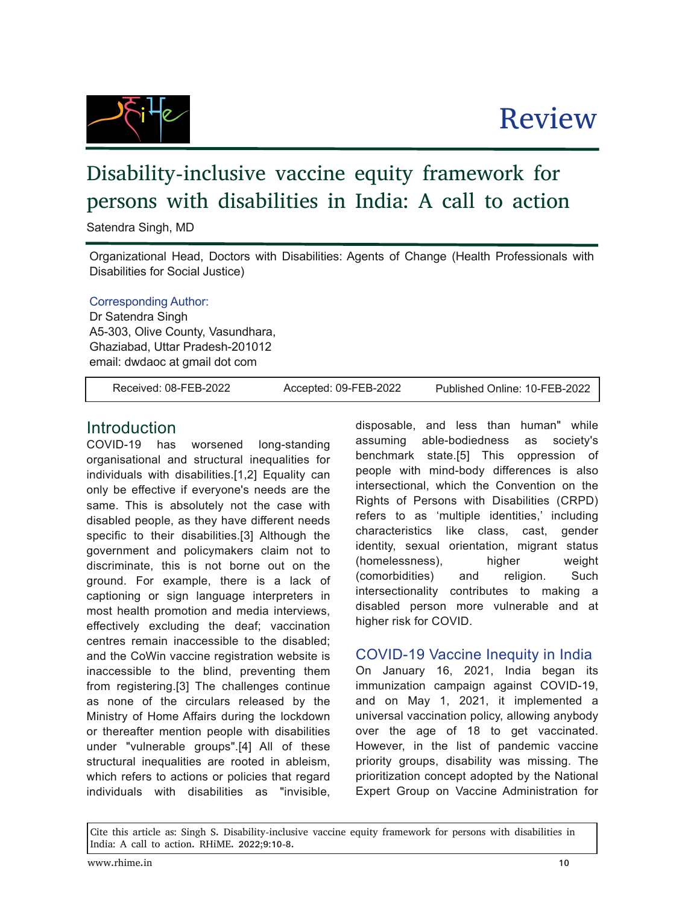# Disability-inclusive vaccine equity framework for persons with disabilities in India: A call to action

Satendra Singh, MD

Organizational Head, Doctors with Disabilities: Agents of Change (Health Professionals with Disabilities for Social Justice)

#### Corresponding Author:

Dr Satendra Singh A5-303, Olive County, Vasundhara, Ghaziabad, Uttar Pradesh-201012 email: dwdaoc at gmail dot com

Cite this article as: Singh S. Disability-inclusive vaccine equity framework for persons with disabilities in

Received: 08-FEB-2022 Accepted: 09-FEB-2022 Published Online: 10-FEB-2022

Review

### **Introduction**

COVID-19 has worsened long-standing organisational and structural inequalities for individuals with disabilities.[1,2] Equality can only be effective if everyone's needs are the same. This is absolutely not the case with disabled people, as they have different needs specific to their disabilities.[3] Although the government and policymakers claim not to discriminate, this is not borne out on the ground. For example, there is a lack of captioning or sign language interpreters in most health promotion and media interviews, effectively excluding the deaf; vaccination centres remain inaccessible to the disabled; and the CoWin vaccine registration website is inaccessible to the blind, preventing them from registering.[3] The challenges continue as none of the circulars released by the Ministry of Home Affairs during the lockdown or thereafter mention people with disabilities under "vulnerable groups".[4] All of these structural inequalities are rooted in ableism, which refers to actions or policies that regard individuals with disabilities as "invisible,

India: A call to action. RHiME. 2022;9:10-8.

disposable, and less than human" while assuming able-bodiedness as society's benchmark state.[5] This oppression of people with mind-body differences is also intersectional, which the Convention on the Rights of Persons with Disabilities (CRPD) refers to as 'multiple identities,' including characteristics like class, cast, gender identity, sexual orientation, migrant status (homelessness), higher weight (comorbidities) and religion. Such intersectionality contributes to making a disabled person more vulnerable and at higher risk for COVID.

### COVID-19 Vaccine Inequity in India

On January 16, 2021, India began its immunization campaign against COVID-19, and on May 1, 2021, it implemented a universal vaccination policy, allowing anybody over the age of 18 to get vaccinated. However, in the list of pandemic vaccine priority groups, disability was missing. The prioritization concept adopted by the National Expert Group on Vaccine Administration for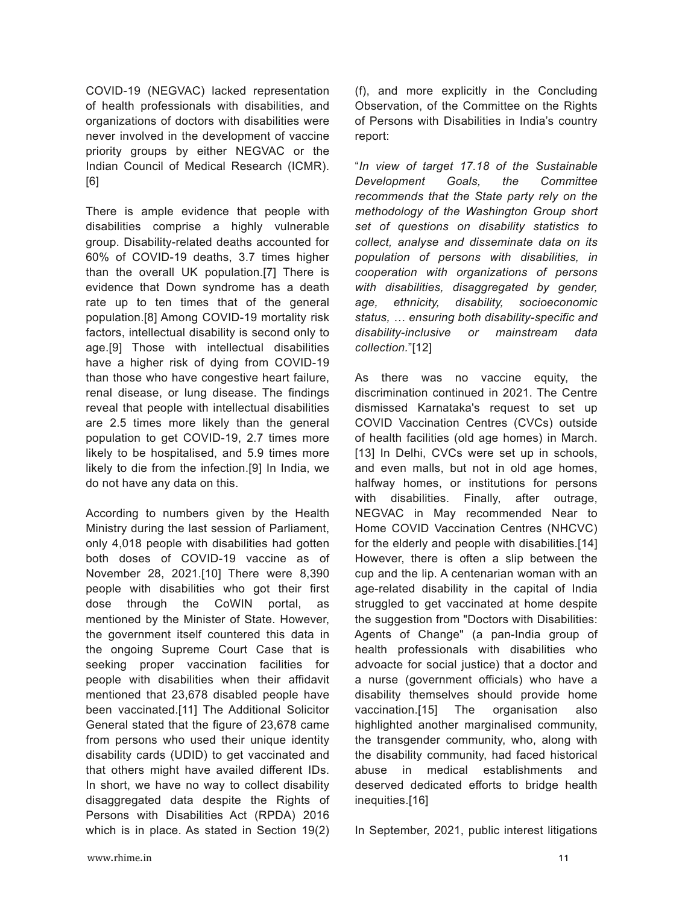COVID-19 (NEGVAC) lacked representation of health professionals with disabilities, and organizations of doctors with disabilities were never involved in the development of vaccine priority groups by either NEGVAC or the Indian Council of Medical Research (ICMR). [6]

There is ample evidence that people with disabilities comprise a highly vulnerable group. Disability-related deaths accounted for 60% of COVID-19 deaths, 3.7 times higher than the overall UK population.[7] There is evidence that Down syndrome has a death rate up to ten times that of the general population.[8] Among COVID-19 mortality risk factors, intellectual disability is second only to age.[9] Those with intellectual disabilities have a higher risk of dying from COVID-19 than those who have congestive heart failure, renal disease, or lung disease. The findings reveal that people with intellectual disabilities are 2.5 times more likely than the general population to get COVID-19, 2.7 times more likely to be hospitalised, and 5.9 times more likely to die from the infection.[9] In India, we do not have any data on this.

According to numbers given by the Health Ministry during the last session of Parliament, only 4,018 people with disabilities had gotten both doses of COVID-19 vaccine as of November 28, 2021.[10] There were 8,390 people with disabilities who got their first dose through the CoWIN portal, as mentioned by the Minister of State. However, the government itself countered this data in the ongoing Supreme Court Case that is seeking proper vaccination facilities for people with disabilities when their affidavit mentioned that 23,678 disabled people have been vaccinated.[11] The Additional Solicitor General stated that the figure of 23,678 came from persons who used their unique identity disability cards (UDID) to get vaccinated and that others might have availed different IDs. In short, we have no way to collect disability disaggregated data despite the Rights of Persons with Disabilities Act (RPDA) 2016 which is in place. As stated in Section 19(2) (f), and more explicitly in the Concluding Observation, of the Committee on the Rights of Persons with Disabilities in India's country report:

"*In view of target 17.18 of the Sustainable Development Goals, the Committee recommends that the State party rely on the methodology of the Washington Group short set of questions on disability statistics to collect, analyse and disseminate data on its population of persons with disabilities, in cooperation with organizations of persons with disabilities, disaggregated by gender, age, ethnicity, disability, socioeconomic status, … ensuring both disabilityspecific and disabilityinclusive or mainstream data collection.*"[12]

As there was no vaccine equity, the discrimination continued in 2021. The Centre dismissed Karnataka's request to set up COVID Vaccination Centres (CVCs) outside of health facilities (old age homes) in March. [13] In Delhi, CVCs were set up in schools, and even malls, but not in old age homes, halfway homes, or institutions for persons with disabilities. Finally, after outrage, NEGVAC in May recommended Near to Home COVID Vaccination Centres (NHCVC) for the elderly and people with disabilities.[14] However, there is often a slip between the cup and the lip. A centenarian woman with an age-related disability in the capital of India struggled to get vaccinated at home despite the suggestion from "Doctors with Disabilities: Agents of Change" (a pan-India group of health professionals with disabilities who advoacte for social justice) that a doctor and a nurse (government officials) who have a disability themselves should provide home vaccination.[15] The organisation also highlighted another marginalised community, the transgender community, who, along with the disability community, had faced historical abuse in medical establishments and deserved dedicated efforts to bridge health inequities.[16]

In September, 2021, public interest litigations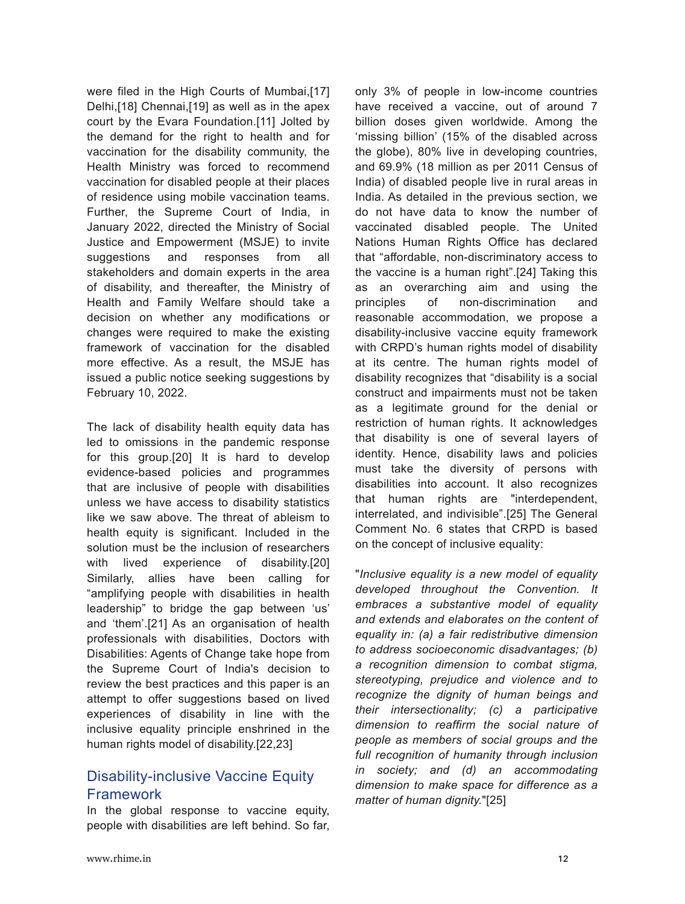were filed in the High Courts of Mumbai, [17] Delhi,[18] Chennai,[19] as well as in the apex court by the Evara Foundation.[11] Jolted by the demand for the right to health and for vaccination for the disability community, the Health Ministry was forced to recommend vaccination for disabled people at their places of residence using mobile vaccination teams. Further, the Supreme Court of India, in January 2022, directed the Ministry of Social Justice and Empowerment (MSJE) to invite suggestions and responses from all stakeholders and domain experts in the area of disability, and thereafter, the Ministry of Health and Family Welfare should take a decision on whether any modifications or changes were required to make the existing framework of vaccination for the disabled more effective. As a result, the MSJE has issued a public notice seeking suggestions by February 10, 2022.

The lack of disability health equity data has led to omissions in the pandemic response for this group.[20] It is hard to develop evidence-based policies and programmes that are inclusive of people with disabilities unless we have access to disability statistics like we saw above. The threat of ableism to health equity is significant. Included in the solution must be the inclusion of researchers with lived experience of disability.[20] Similarly, allies have been calling for "amplifying people with disabilities in health leadership" to bridge the gap between 'us' and 'them'.[21] As an organisation of health professionals with disabilities, Doctors with Disabilities: Agents of Change take hope from the Supreme Court of India's decision to review the best practices and this paper is an attempt to offer suggestions based on lived experiences of disability in line with the inclusive equality principle enshrined in the human rights model of disability.[22,23]

## Disability-inclusive Vaccine Equity Framework

In the global response to vaccine equity, people with disabilities are left behind. So far,

only 3% of people in low-income countries have received a vaccine, out of around 7 billion doses given worldwide. Among the 'missing billion' (15% of the disabled across the globe), 80% live in developing countries, and 69.9% (18 million as per 2011 Census of India) of disabled people live in rural areas in India. As detailed in the previous section, we do not have data to know the number of vaccinated disabled people. The United Nations Human Rights Office has declared that "affordable, non-discriminatory access to the vaccine is a human right".[24] Taking this as an overarching aim and using the principles of non-discrimination and reasonable accommodation, we propose a disability-inclusive vaccine equity framework with CRPD's human rights model of disability at its centre. The human rights model of disability recognizes that "disability is a social construct and impairments must not be taken as a legitimate ground for the denial or restriction of human rights. It acknowledges that disability is one of several layers of identity. Hence, disability laws and policies must take the diversity of persons with disabilities into account. It also recognizes that human rights are "interdependent, interrelated, and indivisible".[25] The General Comment No. 6 states that CRPD is based on the concept of inclusive equality:

"*Inclusive equality is a new model of equality developed throughout the Convention. It embraces a substantive model of equality and extends and elaborates on the content of equality in: (a) a fair redistributive dimension to address socioeconomic disadvantages; (b) a recognition dimension to combat stigma, stereotyping, prejudice and violence and to recognize the dignity of human beings and their intersectionality; (c) a participative dimension to reaffirm the social nature of people as members of social groups and the full recognition of humanity through inclusion in society; and (d) an accommodating dimension to make space for difference as a matter of human dignity.*"[25]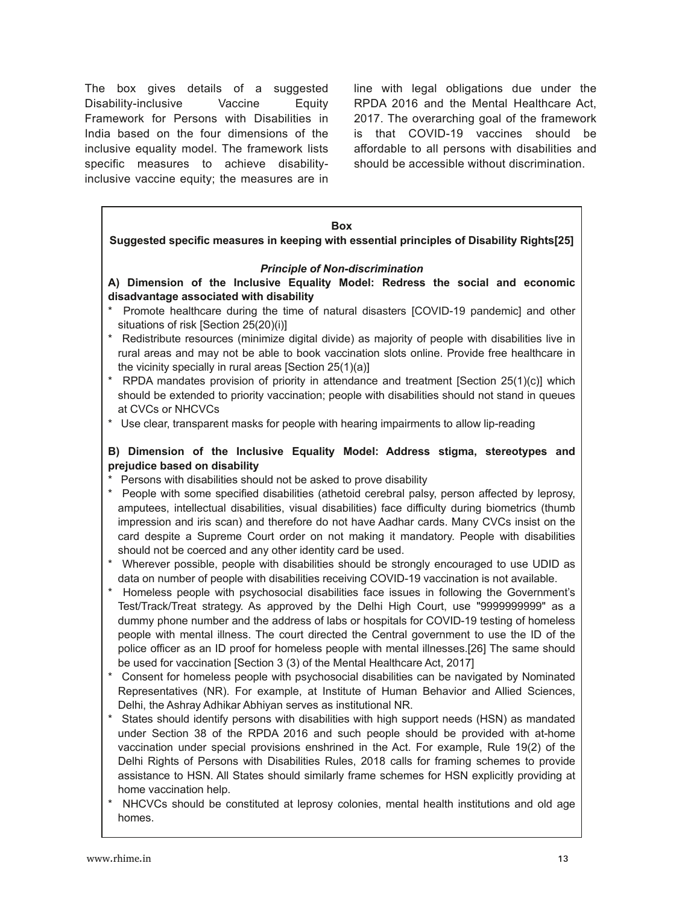The box gives details of a suggested Disability-inclusive Vaccine Equity Framework for Persons with Disabilities in India based on the four dimensions of the inclusive equality model. The framework lists specific measures to achieve disabilityinclusive vaccine equity; the measures are in

line with legal obligations due under the RPDA 2016 and the Mental Healthcare Act, 2017. The overarching goal of the framework is that COVID-19 vaccines should be affordable to all persons with disabilities and should be accessible without discrimination.

#### **Box Suggested specific measures in keeping with essential principles of Disability Rights[25] Principle of Non-discrimination A) Dimension of the Inclusive Equality Model: Redress the social and economic disadvantage associated with disability** \* Promote healthcare during the time of natural disasters [COVID-19 pandemic] and other situations of risk [Section 25(20)(i)] \* Redistribute resources (minimize digital divide) as majority of people with disabilities live in rural areas and may not be able to book vaccination slots online. Provide free healthcare in the vicinity specially in rural areas [Section 25(1)(a)] \* RPDA mandates provision of priority in attendance and treatment [Section 25(1)(c)] which should be extended to priority vaccination; people with disabilities should not stand in queues at CVCs or NHCVCs \* Use clear, transparent masks for people with hearing impairments to allow lip-reading **B) Dimension of the Inclusive Equality Model: Address stigma, stereotypes and prejudice based on disability** \* Persons with disabilities should not be asked to prove disability \* People with some specified disabilities (athetoid cerebral palsy, person affected by leprosy, amputees, intellectual disabilities, visual disabilities) face difficulty during biometrics (thumb impression and iris scan) and therefore do not have Aadhar cards. Many CVCs insist on the card despite a Supreme Court order on not making it mandatory. People with disabilities should not be coerced and any other identity card be used. \* Wherever possible, people with disabilities should be strongly encouraged to use UDID as data on number of people with disabilities receiving COVID-19 vaccination is not available. \* Homeless people with psychosocial disabilities face issues in following the Government's Test/Track/Treat strategy. As approved by the Delhi High Court, use "9999999999" as a dummy phone number and the address of labs or hospitals for COVID-19 testing of homeless people with mental illness. The court directed the Central government to use the ID of the police officer as an ID proof for homeless people with mental illnesses.[26] The same should be used for vaccination [Section 3 (3) of the Mental Healthcare Act, 2017] \* Consent for homeless people with psychosocial disabilities can be navigated by Nominated Representatives (NR). For example, at Institute of Human Behavior and Allied Sciences, Delhi, the Ashray Adhikar Abhiyan serves as institutional NR. \* States should identify persons with disabilities with high support needs (HSN) as mandated under Section 38 of the RPDA 2016 and such people should be provided with at-home vaccination under special provisions enshrined in the Act. For example, Rule 19(2) of the Delhi Rights of Persons with Disabilities Rules, 2018 calls for framing schemes to provide

NHCVCs should be constituted at leprosy colonies, mental health institutions and old age homes.

assistance to HSN. All States should similarly frame schemes for HSN explicitly providing at

home vaccination help.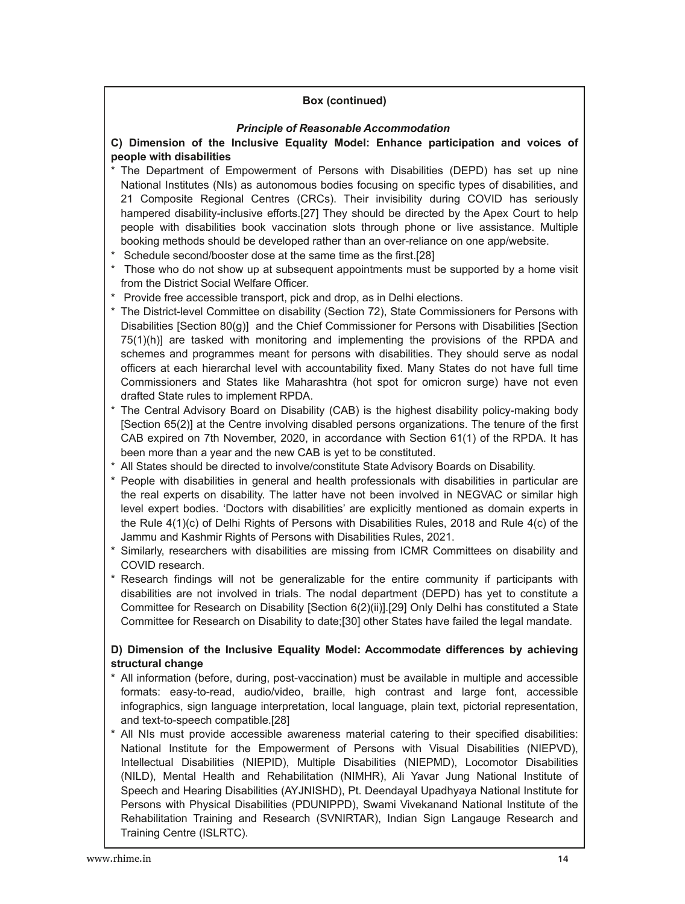#### **Box (continued)**

#### *Principle of Reasonable Accommodation*

#### **C) Dimension of the Inclusive Equality Model: Enhance participation and voices of people with disabilities**

- \* The Department of Empowerment of Persons with Disabilities (DEPD) has set up nine National Institutes (NIs) as autonomous bodies focusing on specific types of disabilities, and 21 Composite Regional Centres (CRCs). Their invisibility during COVID has seriously hampered disability-inclusive efforts.[27] They should be directed by the Apex Court to help people with disabilities book vaccination slots through phone or live assistance. Multiple booking methods should be developed rather than an over-reliance on one app/website.
- \* Schedule second/booster dose at the same time as the first.[28]
- \* Those who do not show up at subsequent appointments must be supported by a home visit from the District Social Welfare Officer.
- \* Provide free accessible transport, pick and drop, as in Delhi elections.
- \* The District-level Committee on disability (Section 72), State Commissioners for Persons with Disabilities [Section 80(g)] and the Chief Commissioner for Persons with Disabilities [Section 75(1)(h)] are tasked with monitoring and implementing the provisions of the RPDA and schemes and programmes meant for persons with disabilities. They should serve as nodal officers at each hierarchal level with accountability fixed. Many States do not have full time Commissioners and States like Maharashtra (hot spot for omicron surge) have not even drafted State rules to implement RPDA.
- \* The Central Advisory Board on Disability (CAB) is the highest disability policy-making body [Section 65(2)] at the Centre involving disabled persons organizations. The tenure of the first CAB expired on 7th November, 2020, in accordance with Section 61(1) of the RPDA. It has been more than a year and the new CAB is yet to be constituted.
- \* All States should be directed to involve/constitute State Advisory Boards on Disability.
- \* People with disabilities in general and health professionals with disabilities in particular are the real experts on disability. The latter have not been involved in NEGVAC or similar high level expert bodies. 'Doctors with disabilities' are explicitly mentioned as domain experts in the Rule 4(1)(c) of Delhi Rights of Persons with Disabilities Rules, 2018 and Rule 4(c) of the Jammu and Kashmir Rights of Persons with Disabilities Rules, 2021.
- \* Similarly, researchers with disabilities are missing from ICMR Committees on disability and COVID research.
- \* Research findings will not be generalizable for the entire community if participants with disabilities are not involved in trials. The nodal department (DEPD) has yet to constitute a Committee for Research on Disability [Section 6(2)(ii)].[29] Only Delhi has constituted a State Committee for Research on Disability to date;[30] other States have failed the legal mandate.

#### **D) Dimension of the Inclusive Equality Model: Accommodate differences by achieving structural change**

- \* All information (before, during, post-vaccination) must be available in multiple and accessible formats: easy-to-read, audio/video, braille, high contrast and large font, accessible infographics, sign language interpretation, local language, plain text, pictorial representation, and text-to-speech compatible.[28]
- All NIs must provide accessible awareness material catering to their specified disabilities: National Institute for the Empowerment of Persons with Visual Disabilities (NIEPVD), Intellectual Disabilities (NIEPID), Multiple Disabilities (NIEPMD), Locomotor Disabilities (NILD), Mental Health and Rehabilitation (NIMHR), Ali Yavar Jung National Institute of Speech and Hearing Disabilities (AYJNISHD), Pt. Deendayal Upadhyaya National Institute for Persons with Physical Disabilities (PDUNIPPD), Swami Vivekanand National Institute of the Rehabilitation Training and Research (SVNIRTAR), Indian Sign Langauge Research and Training Centre (ISLRTC).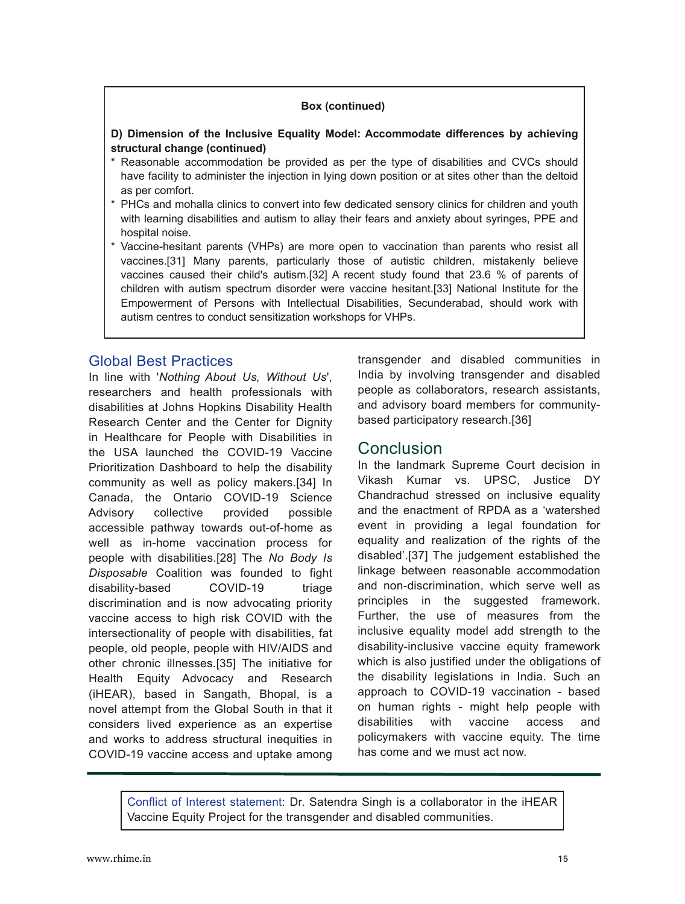#### **Box (continued)**

#### **D) Dimension of the Inclusive Equality Model: Accommodate differences by achieving structural change (continued)**

- \* Reasonable accommodation be provided as per the type of disabilities and CVCs should have facility to administer the injection in lying down position or at sites other than the deltoid as per comfort.
- \* PHCs and mohalla clinics to convert into few dedicated sensory clinics for children and youth with learning disabilities and autism to allay their fears and anxiety about syringes, PPE and hospital noise.
- \* Vaccine-hesitant parents (VHPs) are more open to vaccination than parents who resist all vaccines.[31] Many parents, particularly those of autistic children, mistakenly believe vaccines caused their child's autism.[32] A recent study found that 23.6 % of parents of children with autism spectrum disorder were vaccine hesitant.[33] National Institute for the Empowerment of Persons with Intellectual Disabilities, Secunderabad, should work with autism centres to conduct sensitization workshops for VHPs.

#### Global Best Practices

In line with '*Nothing About Us, Without Us*', researchers and health professionals with disabilities at Johns Hopkins Disability Health Research Center and the Center for Dignity in Healthcare for People with Disabilities in the USA launched the COVID-19 Vaccine Prioritization Dashboard to help the disability community as well as policy makers.[34] In Canada, the Ontario COVID-19 Science Advisory collective provided possible accessible pathway towards out-of-home as well as in-home vaccination process for people with disabilities.[28] The *No Body Is Disposable* Coalition was founded to fight disability-based COVID-19 triage discrimination and is now advocating priority vaccine access to high risk COVID with the intersectionality of people with disabilities, fat people, old people, people with HIV/AIDS and other chronic illnesses.[35] The initiative for Health Equity Advocacy and Research (iHEAR), based in Sangath, Bhopal, is a novel attempt from the Global South in that it considers lived experience as an expertise and works to address structural inequities in COVID-19 vaccine access and uptake among transgender and disabled communities in India by involving transgender and disabled people as collaborators, research assistants, and advisory board members for communitybased participatory research.[36]

## **Conclusion**

In the landmark Supreme Court decision in Vikash Kumar vs. UPSC, Justice DY Chandrachud stressed on inclusive equality and the enactment of RPDA as a 'watershed event in providing a legal foundation for equality and realization of the rights of the disabled'.[37] The judgement established the linkage between reasonable accommodation and non-discrimination, which serve well as principles in the suggested framework. Further, the use of measures from the inclusive equality model add strength to the disability-inclusive vaccine equity framework which is also justified under the obligations of the disability legislations in India. Such an approach to COVID-19 vaccination - based on human rights - might help people with disabilities with vaccine access and policymakers with vaccine equity. The time has come and we must act now.

Conflict of Interest statement: Dr. Satendra Singh is a collaborator in the iHEAR Vaccine Equity Project for the transgender and disabled communities.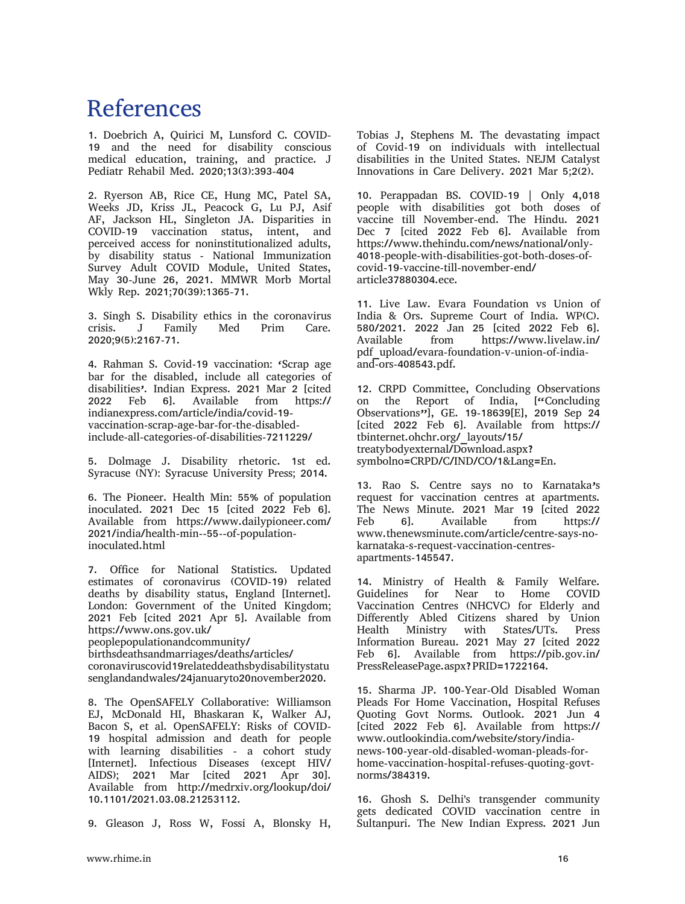## References

1. Doebrich A, Quirici M, Lunsford C. COVID-19 and the need for disability conscious medical education, training, and practice. J Pediatr Rehabil Med. 2020;13(3):393-404

2. Ryerson AB, Rice CE, Hung MC, Patel SA, Weeks JD, Kriss JL, Peacock G, Lu PJ, Asif AF, Jackson HL, Singleton JA. Disparities in COVID-19 vaccination status, intent, and perceived access for noninstitutionalized adults, by disability status - National Immunization Survey Adult COVID Module, United States, May 30-June 26, 2021. MMWR Morb Mortal Wkly Rep. 2021;70(39):1365-71.

3. Singh S. Disability ethics in the coronavirus<br>crisis. J Family Med Prim Care. crisis. J Family Med Prim Care. 2020;9(5):2167-71.

4. Rahman S. Covid-19 vaccination: 'Scrap age bar for the disabled, include all categories of disabilities<sup>2</sup>. Indian Express. 2021 Mar 2 [cited 2022 Feb 6]. Available from https:// 6]. Available from https:// indianexpress.com/article/india/covid-19 vaccination-scrap-age-bar-for-the-disabledinclude-all-categories-of-disabilities-7211229/

5. Dolmage J. Disability rhetoric. 1st ed. Syracuse (NY): Syracuse University Press; 2014.

6. The Pioneer. Health Min: 55% of population inoculated. 2021 Dec 15 [cited 2022 Feb 6]. Available from https://www.dailypioneer.com/ 2021/india/health-min--55--of-populationinoculated.html

7. Office for National Statistics. Updated estimates of coronavirus (COVID-19) related deaths by disability status, England [Internet]. London: Government of the United Kingdom; 2021 Feb [cited 2021 Apr 5]. Available from https://www.ons.gov.uk/

peoplepopulationandcommunity/

birthsdeathsandmarriages/deaths/articles/ coronaviruscovid19relateddeathsbydisabilitystatu senglandandwales/24januaryto20november2020.

8. The OpenSAFELY Collaborative: Williamson EJ, McDonald HI, Bhaskaran K, Walker AJ, Bacon S, et al. OpenSAFELY: Risks of COVID-19 hospital admission and death for people with learning disabilities - a cohort study [Internet]. Infectious Diseases (except HIV/ AIDS); 2021 Mar [cited 2021 Apr 30]. Available from http://medrxiv.org/lookup/doi/ 10.1101/2021.03.08.21253112.

9. Gleason J, Ross W, Fossi A, Blonsky H,

Tobias J, Stephens M. The devastating impact of Covid-19 on individuals with intellectual disabilities in the United States. NEJM Catalyst Innovations in Care Delivery. 2021 Mar 5;2(2).

10. Perappadan BS. COVID-19 | Only 4,018 people with disabilities got both doses of vaccine till November-end. The Hindu. 2021 Dec 7 [cited 2022 Feb 6]. Available from https://www.thehindu.com/news/national/only-4018-people-with-disabilities-got-both-doses-ofcovid-19-vaccine-till-november-end/ article37880304.ece.

11. Live Law. Evara Foundation vs Union of India & Ors. Supreme Court of India. WP(C). 580/2021. 2022 Jan 25 [cited 2022 Feb 6]. https://www.livelaw.in/ pdf\_upload/evara-foundation-v-union-of-indiaand-ors-408543.pdf.

12. CRPD Committee, Concluding Observations<br>on the Report of India, ["Concluding on the Report of India, Observations"], GE. 19-18639[E], 2019 Sep 24 [cited 2022 Feb 6]. Available from https:// tbinternet.ohchr.org/\_layouts/15/ treatybodyexternal/Download.aspx? symbolno=CRPD/C/IND/CO/1&Lang=En.

13. Rao S. Centre says no to Karnataka's request for vaccination centres at apartments. The News Minute. 2021 Mar 19 [cited 2022 Feb 6]. Available from https:// www.thenewsminute.com/article/centre-says-nokarnataka-s-request-vaccination-centresapartments-145547.

14. Ministry of Health & Family Welfare. Guidelines for Near to Home COVID Vaccination Centres (NHCVC) for Elderly and Differently Abled Citizens shared by Union Health Ministry with States/UTs. Press Information Bureau. 2021 May 27 [cited 2022 Feb 6]. Available from https://pib.gov.in/ PressReleasePage.aspx?PRID=1722164.

15. Sharma JP. 100-Year-Old Disabled Woman Pleads For Home Vaccination, Hospital Refuses Quoting Govt Norms. Outlook. 2021 Jun 4 [cited 2022 Feb 6]. Available from https:// www.outlookindia.com/website/story/indianews-100-year-old-disabled-woman-pleads-forhome-vaccination-hospital-refuses-quoting-govtnorms/384319.

16. Ghosh S. Delhi's transgender community gets dedicated COVID vaccination centre in Sultanpuri. The New Indian Express. 2021 Jun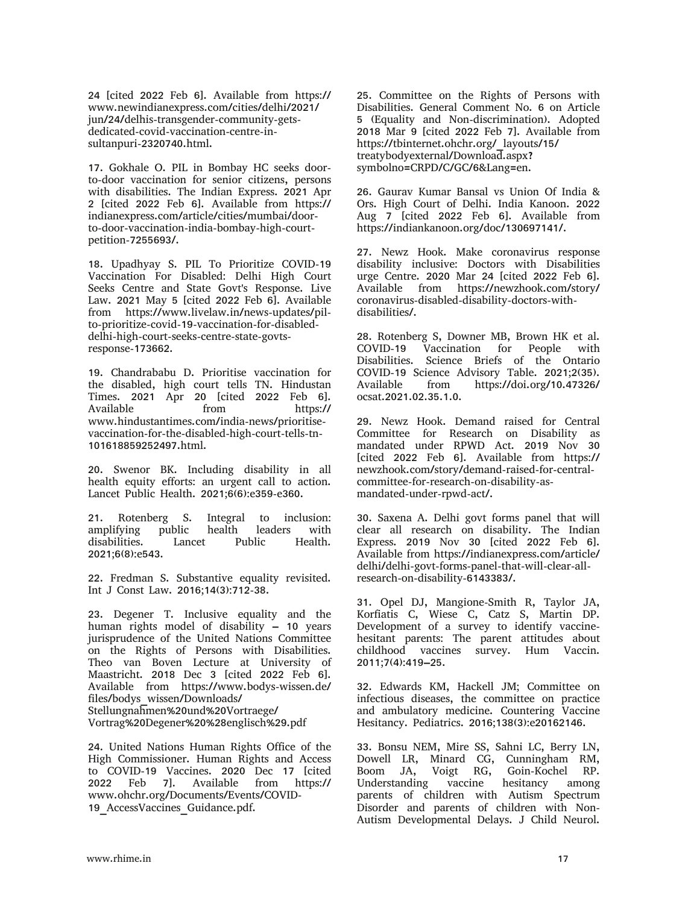24 [cited 2022 Feb 6]. Available from https:// www.newindianexpress.com/cities/delhi/2021/ jun/24/delhis-transgender-community-getsdedicated-covid-vaccination-centre-insultanpuri-2320740.html.

17. Gokhale O. PIL in Bombay HC seeks doorto-door vaccination for senior citizens, persons with disabilities. The Indian Express. 2021 Apr 2 [cited 2022 Feb 6]. Available from https:// indianexpress.com/article/cities/mumbai/doorto-door-vaccination-india-bombay-high-courtpetition-7255693/.

18. Upadhyay S. PIL To Prioritize COVID-19 Vaccination For Disabled: Delhi High Court Seeks Centre and State Govt's Response. Live Law. 2021 May 5 [cited 2022 Feb 6]. Available from https://www.livelaw.in/news-updates/pilto-prioritize-covid-19-vaccination-for-disableddelhi-high-court-seeks-centre-state-govtsresponse-173662.

19. Chandrababu D. Prioritise vaccination for the disabled, high court tells TN. Hindustan Times. 2021 Apr 20 [cited 2022 Feb 6]. Available from https:// www.hindustantimes.com/india-news/prioritisevaccination-for-the-disabled-high-court-tells-tn-101618859252497.html.

20. Swenor BK. Including disability in all health equity efforts: an urgent call to action. Lancet Public Health. 2021;6(6):e359-e360.

21. Rotenberg S. Integral to inclusion: amplifying public health leaders with disabilities. Lancet Public Health. 2021;6(8):e543.

22. Fredman S. Substantive equality revisited. Int J Const Law. 2016;14(3):712-38.

23. Degener T. Inclusive equality and the human rights model of disability – 10 years jurisprudence of the United Nations Committee on the Rights of Persons with Disabilities. Theo van Boven Lecture at University of Maastricht. 2018 Dec 3 [cited 2022 Feb 6]. Available from https://www.bodys-wissen.de/ files/bodys\_wissen/Downloads/ Stellungnahmen%20und%20Vortraege/ Vortrag%20Degener%20%28englisch%29.pdf

24. United Nations Human Rights Office of the High Commissioner. Human Rights and Access to COVID-19 Vaccines. 2020 Dec 17 [cited<br>2022 Feb 7]. Available from https:// 2022 Feb 7]. Available from https:// www.ohchr.org/Documents/Events/COVID-19\_AccessVaccines\_Guidance.pdf.

25. Committee on the Rights of Persons with Disabilities. General Comment No. 6 on Article 5 (Equality and Non-discrimination). Adopted 2018 Mar 9 [cited 2022 Feb 7]. Available from https://tbinternet.ohchr.org/\_layouts/15/ treatybodyexternal/Download.aspx? symbolno=CRPD/C/GC/6&Lang=en.

26. Gaurav Kumar Bansal vs Union Of India & Ors. High Court of Delhi. India Kanoon. 2022 Aug 7 [cited 2022 Feb 6]. Available from https://indiankanoon.org/doc/130697141/.

27. Newz Hook. Make coronavirus response disability inclusive: Doctors with Disabilities urge Centre. 2020 Mar 24 [cited 2022 Feb 6]. Available from https://newzhook.com/story/ coronavirus-disabled-disability-doctors-withdisabilities/.

28. Rotenberg S, Downer MB, Brown HK et al. COVID-19 Vaccination for People with Disabilities. Science Briefs of the Ontario COVID-19 Science Advisory Table. 2021;2(35). Available from https://doi.org/10.47326/ ocsat.2021.02.35.1.0.

29. Newz Hook. Demand raised for Central Committee for Research on Disability as mandated under RPWD Act. 2019 Nov 30 [cited 2022 Feb 6]. Available from https:// newzhook.com/story/demand-raised-for-centralcommittee-for-research-on-disability-asmandated-under-rpwd-act/.

30. Saxena A. Delhi govt forms panel that will clear all research on disability. The Indian Express. 2019 Nov 30 [cited 2022 Feb 6]. Available from https://indianexpress.com/article/ delhi/delhi-govt-forms-panel-that-will-clear-allresearch-on-disability-6143383/.

31. Opel DJ, Mangione-Smith R, Taylor JA, Korfiatis C, Wiese C, Catz S, Martin DP. Development of a survey to identify vaccinehesitant parents: The parent attitudes about childhood vaccines survey. Hum Vaccin. 2011;7(4):419–25.

32. Edwards KM, Hackell JM; Committee on infectious diseases, the committee on practice and ambulatory medicine. Countering Vaccine Hesitancy. Pediatrics. 2016;138(3):e20162146.

33. Bonsu NEM, Mire SS, Sahni LC, Berry LN, Dowell LR, Minard CG, Cunningham RM, Boom JA, Voigt RG, Goin-Kochel RP. Understanding vaccine hesitancy among parents of children with Autism Spectrum Disorder and parents of children with Non-Autism Developmental Delays. J Child Neurol.